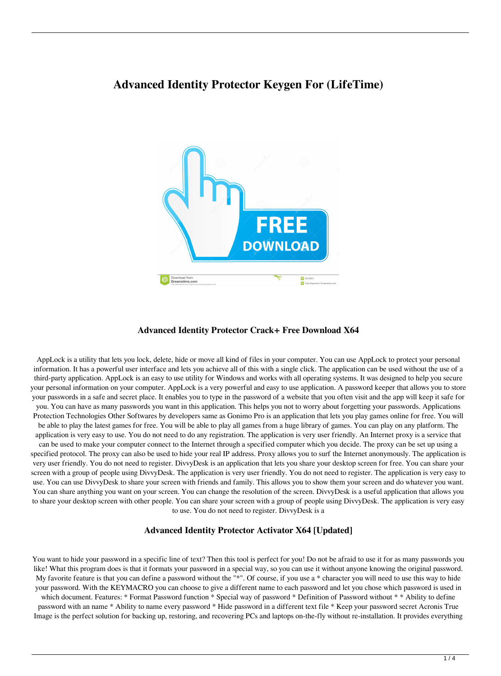# **Advanced Identity Protector Keygen For (LifeTime)**



#### **Advanced Identity Protector Crack+ Free Download X64**

AppLock is a utility that lets you lock, delete, hide or move all kind of files in your computer. You can use AppLock to protect your personal information. It has a powerful user interface and lets you achieve all of this with a single click. The application can be used without the use of a third-party application. AppLock is an easy to use utility for Windows and works with all operating systems. It was designed to help you secure your personal information on your computer. AppLock is a very powerful and easy to use application. A password keeper that allows you to store your passwords in a safe and secret place. It enables you to type in the password of a website that you often visit and the app will keep it safe for you. You can have as many passwords you want in this application. This helps you not to worry about forgetting your passwords. Applications Protection Technologies Other Softwares by developers same as Gonimo Pro is an application that lets you play games online for free. You will be able to play the latest games for free. You will be able to play all games from a huge library of games. You can play on any platform. The application is very easy to use. You do not need to do any registration. The application is very user friendly. An Internet proxy is a service that can be used to make your computer connect to the Internet through a specified computer which you decide. The proxy can be set up using a specified protocol. The proxy can also be used to hide your real IP address. Proxy allows you to surf the Internet anonymously. The application is very user friendly. You do not need to register. DivvyDesk is an application that lets you share your desktop screen for free. You can share your screen with a group of people using DivvyDesk. The application is very user friendly. You do not need to register. The application is very easy to use. You can use DivvyDesk to share your screen with friends and family. This allows you to show them your screen and do whatever you want. You can share anything you want on your screen. You can change the resolution of the screen. DivvyDesk is a useful application that allows you to share your desktop screen with other people. You can share your screen with a group of people using DivvyDesk. The application is very easy to use. You do not need to register. DivvyDesk is a

#### **Advanced Identity Protector Activator X64 [Updated]**

You want to hide your password in a specific line of text? Then this tool is perfect for you! Do not be afraid to use it for as many passwords you like! What this program does is that it formats your password in a special way, so you can use it without anyone knowing the original password. My favorite feature is that you can define a password without the "\*". Of course, if you use a \* character you will need to use this way to hide your password. With the KEYMACRO you can choose to give a different name to each password and let you chose which password is used in

which document. Features: \* Format Password function \* Special way of password \* Definition of Password without \* \* Ability to define password with an name \* Ability to name every password \* Hide password in a different text file \* Keep your password secret Acronis True Image is the perfect solution for backing up, restoring, and recovering PCs and laptops on-the-fly without re-installation. It provides everything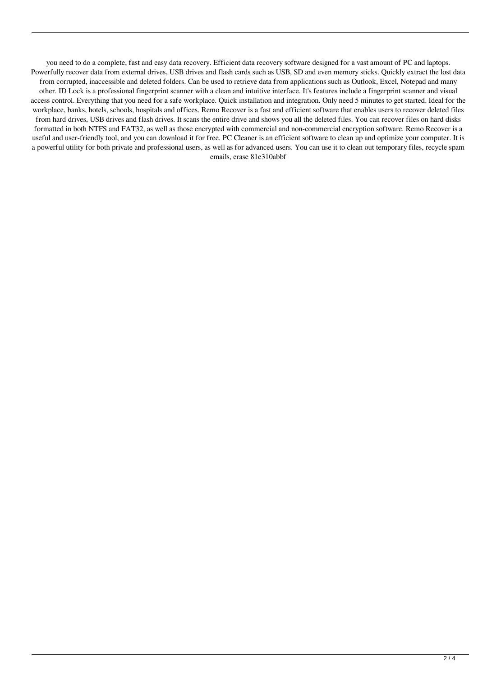you need to do a complete, fast and easy data recovery. Efficient data recovery software designed for a vast amount of PC and laptops. Powerfully recover data from external drives, USB drives and flash cards such as USB, SD and even memory sticks. Quickly extract the lost data from corrupted, inaccessible and deleted folders. Can be used to retrieve data from applications such as Outlook, Excel, Notepad and many other. ID Lock is a professional fingerprint scanner with a clean and intuitive interface. It's features include a fingerprint scanner and visual access control. Everything that you need for a safe workplace. Quick installation and integration. Only need 5 minutes to get started. Ideal for the workplace, banks, hotels, schools, hospitals and offices. Remo Recover is a fast and efficient software that enables users to recover deleted files from hard drives, USB drives and flash drives. It scans the entire drive and shows you all the deleted files. You can recover files on hard disks formatted in both NTFS and FAT32, as well as those encrypted with commercial and non-commercial encryption software. Remo Recover is a useful and user-friendly tool, and you can download it for free. PC Cleaner is an efficient software to clean up and optimize your computer. It is a powerful utility for both private and professional users, as well as for advanced users. You can use it to clean out temporary files, recycle spam emails, erase 81e310abbf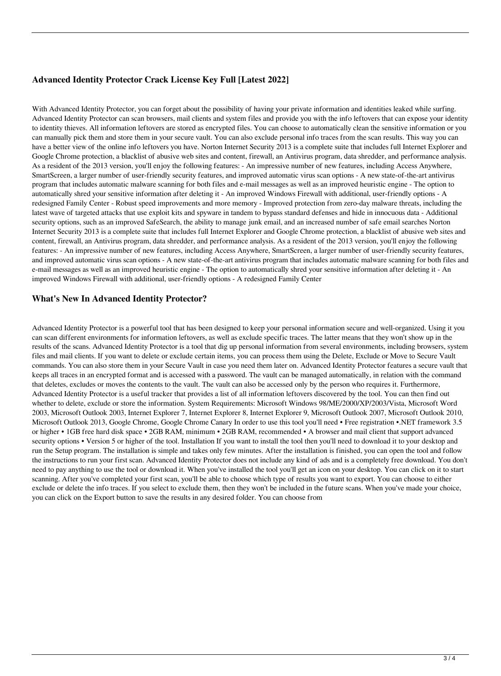## **Advanced Identity Protector Crack License Key Full [Latest 2022]**

With Advanced Identity Protector, you can forget about the possibility of having your private information and identities leaked while surfing. Advanced Identity Protector can scan browsers, mail clients and system files and provide you with the info leftovers that can expose your identity to identity thieves. All information leftovers are stored as encrypted files. You can choose to automatically clean the sensitive information or you can manually pick them and store them in your secure vault. You can also exclude personal info traces from the scan results. This way you can have a better view of the online info leftovers you have. Norton Internet Security 2013 is a complete suite that includes full Internet Explorer and Google Chrome protection, a blacklist of abusive web sites and content, firewall, an Antivirus program, data shredder, and performance analysis. As a resident of the 2013 version, you'll enjoy the following features: - An impressive number of new features, including Access Anywhere, SmartScreen, a larger number of user-friendly security features, and improved automatic virus scan options - A new state-of-the-art antivirus program that includes automatic malware scanning for both files and e-mail messages as well as an improved heuristic engine - The option to automatically shred your sensitive information after deleting it - An improved Windows Firewall with additional, user-friendly options - A redesigned Family Center - Robust speed improvements and more memory - Improved protection from zero-day malware threats, including the latest wave of targeted attacks that use exploit kits and spyware in tandem to bypass standard defenses and hide in innocuous data - Additional security options, such as an improved SafeSearch, the ability to manage junk email, and an increased number of safe email searches Norton Internet Security 2013 is a complete suite that includes full Internet Explorer and Google Chrome protection, a blacklist of abusive web sites and content, firewall, an Antivirus program, data shredder, and performance analysis. As a resident of the 2013 version, you'll enjoy the following features: - An impressive number of new features, including Access Anywhere, SmartScreen, a larger number of user-friendly security features, and improved automatic virus scan options - A new state-of-the-art antivirus program that includes automatic malware scanning for both files and e-mail messages as well as an improved heuristic engine - The option to automatically shred your sensitive information after deleting it - An improved Windows Firewall with additional, user-friendly options - A redesigned Family Center

### **What's New In Advanced Identity Protector?**

Advanced Identity Protector is a powerful tool that has been designed to keep your personal information secure and well-organized. Using it you can scan different environments for information leftovers, as well as exclude specific traces. The latter means that they won't show up in the results of the scans. Advanced Identity Protector is a tool that dig up personal information from several environments, including browsers, system files and mail clients. If you want to delete or exclude certain items, you can process them using the Delete, Exclude or Move to Secure Vault commands. You can also store them in your Secure Vault in case you need them later on. Advanced Identity Protector features a secure vault that keeps all traces in an encrypted format and is accessed with a password. The vault can be managed automatically, in relation with the command that deletes, excludes or moves the contents to the vault. The vault can also be accessed only by the person who requires it. Furthermore, Advanced Identity Protector is a useful tracker that provides a list of all information leftovers discovered by the tool. You can then find out whether to delete, exclude or store the information. System Requirements: Microsoft Windows 98/ME/2000/XP/2003/Vista, Microsoft Word 2003, Microsoft Outlook 2003, Internet Explorer 7, Internet Explorer 8, Internet Explorer 9, Microsoft Outlook 2007, Microsoft Outlook 2010, Microsoft Outlook 2013, Google Chrome, Google Chrome Canary In order to use this tool you'll need • Free registration •.NET framework 3.5 or higher • 1GB free hard disk space • 2GB RAM, minimum • 2GB RAM, recommended • A browser and mail client that support advanced security options • Version 5 or higher of the tool. Installation If you want to install the tool then you'll need to download it to your desktop and run the Setup program. The installation is simple and takes only few minutes. After the installation is finished, you can open the tool and follow the instructions to run your first scan. Advanced Identity Protector does not include any kind of ads and is a completely free download. You don't need to pay anything to use the tool or download it. When you've installed the tool you'll get an icon on your desktop. You can click on it to start scanning. After you've completed your first scan, you'll be able to choose which type of results you want to export. You can choose to either exclude or delete the info traces. If you select to exclude them, then they won't be included in the future scans. When you've made your choice, you can click on the Export button to save the results in any desired folder. You can choose from